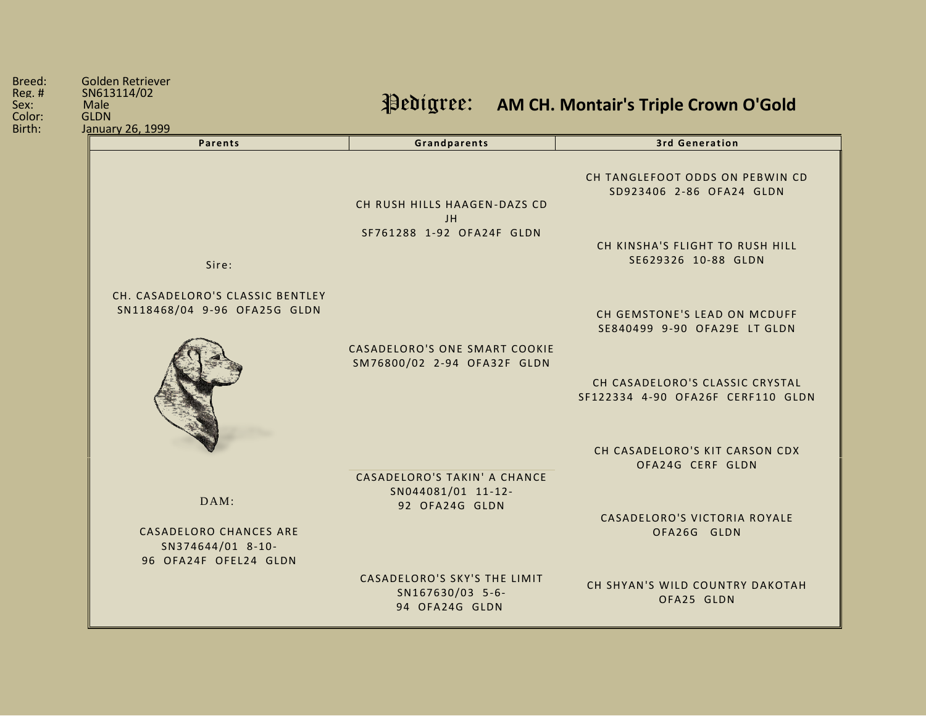| <b>Parents</b>                                                              | Grandparents                                                       | <b>3rd Generation</b>                                                |
|-----------------------------------------------------------------------------|--------------------------------------------------------------------|----------------------------------------------------------------------|
|                                                                             | CH RUSH HILLS HAAGEN-DAZS CD<br>JH                                 | CH TANGLEFOOT ODDS ON PEBWIN CD<br>SD923406 2-86 OFA24 GLDN          |
| Sire:                                                                       | SF761288 1-92 OFA24F GLDN                                          | CH KINSHA'S FLIGHT TO RUSH HILL<br>SE629326 10-88 GLDN               |
| CH. CASADELORO'S CLASSIC BENTLEY<br>SN118468/04 9-96 OFA25G GLDN            |                                                                    | CH GEMSTONE'S LEAD ON MCDUFF<br>SE840499 9-90 OFA29E LT GLDN         |
|                                                                             | CASADELORO'S ONE SMART COOKIE<br>SM76800/02 2-94 OFA32F GLDN       | CH CASADELORO'S CLASSIC CRYSTAL<br>SF122334 4-90 OFA26F CERF110 GLDN |
|                                                                             | CASADELORO'S TAKIN' A CHANCE                                       | CH CASADELORO'S KIT CARSON CDX<br>OFA24G CERF GLDN                   |
| DAM:                                                                        | SN044081/01 11-12-<br>92 OFA24G GLDN                               | CASADELORO'S VICTORIA ROYALE                                         |
| <b>CASADELORO CHANCES ARE</b><br>SN374644/01 8-10-<br>96 OFA24F OFEL24 GLDN |                                                                    | OFA26G GLDN                                                          |
|                                                                             | CASADELORO'S SKY'S THE LIMIT<br>SN167630/03 5-6-<br>94 OFA24G GLDN | CH SHYAN'S WILD COUNTRY DAKOTAH<br>OFA25 GLDN                        |

Breed: Golden Retriever<br>Reg. # SN613114/02 Reg. # SN613114/02 **Male**